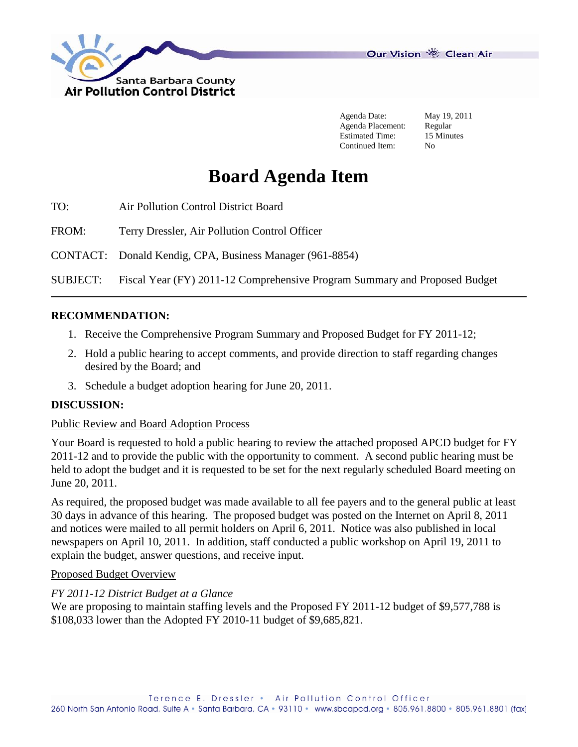

Our Vision 卷 Clean Air

Agenda Date: May 19, 2011 Agenda Placement: Regular Estimated Time: 15 Minutes Continued Item: No

# **Board Agenda Item**

TO: Air Pollution Control District Board

FROM: Terry Dressler, Air Pollution Control Officer

CONTACT: Donald Kendig, CPA, Business Manager (961-8854)

SUBJECT: Fiscal Year (FY) 2011-12 Comprehensive Program Summary and Proposed Budget

### **RECOMMENDATION:**

- 1. Receive the Comprehensive Program Summary and Proposed Budget for FY 2011-12;
- 2. Hold a public hearing to accept comments, and provide direction to staff regarding changes desired by the Board; and
- 3. Schedule a budget adoption hearing for June 20, 2011.

### **DISCUSSION:**

### Public Review and Board Adoption Process

Your Board is requested to hold a public hearing to review the attached proposed APCD budget for FY 2011-12 and to provide the public with the opportunity to comment. A second public hearing must be held to adopt the budget and it is requested to be set for the next regularly scheduled Board meeting on June 20, 2011.

As required, the proposed budget was made available to all fee payers and to the general public at least 30 days in advance of this hearing. The proposed budget was posted on the Internet on April 8, 2011 and notices were mailed to all permit holders on April 6, 2011. Notice was also published in local newspapers on April 10, 2011. In addition, staff conducted a public workshop on April 19, 2011 to explain the budget, answer questions, and receive input.

#### Proposed Budget Overview

### *FY 2011-12 District Budget at a Glance*

We are proposing to maintain staffing levels and the Proposed FY 2011-12 budget of \$9,577,788 is \$108,033 lower than the Adopted FY 2010-11 budget of \$9,685,821.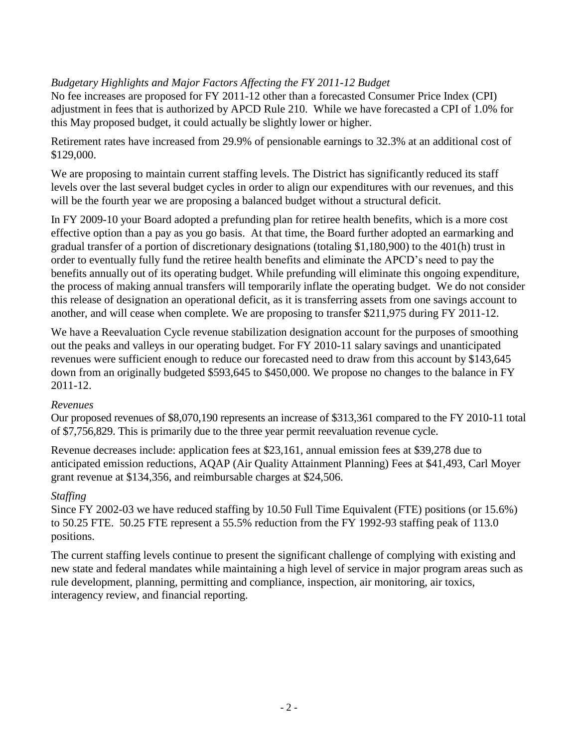# *Budgetary Highlights and Major Factors Affecting the FY 2011-12 Budget*

No fee increases are proposed for FY 2011-12 other than a forecasted Consumer Price Index (CPI) adjustment in fees that is authorized by APCD Rule 210. While we have forecasted a CPI of 1.0% for this May proposed budget, it could actually be slightly lower or higher.

Retirement rates have increased from 29.9% of pensionable earnings to 32.3% at an additional cost of \$129,000.

We are proposing to maintain current staffing levels. The District has significantly reduced its staff levels over the last several budget cycles in order to align our expenditures with our revenues, and this will be the fourth year we are proposing a balanced budget without a structural deficit.

In FY 2009-10 your Board adopted a prefunding plan for retiree health benefits, which is a more cost effective option than a pay as you go basis. At that time, the Board further adopted an earmarking and gradual transfer of a portion of discretionary designations (totaling \$1,180,900) to the 401(h) trust in order to eventually fully fund the retiree health benefits and eliminate the APCD's need to pay the benefits annually out of its operating budget. While prefunding will eliminate this ongoing expenditure, the process of making annual transfers will temporarily inflate the operating budget. We do not consider this release of designation an operational deficit, as it is transferring assets from one savings account to another, and will cease when complete. We are proposing to transfer \$211,975 during FY 2011-12.

We have a Reevaluation Cycle revenue stabilization designation account for the purposes of smoothing out the peaks and valleys in our operating budget. For FY 2010-11 salary savings and unanticipated revenues were sufficient enough to reduce our forecasted need to draw from this account by \$143,645 down from an originally budgeted \$593,645 to \$450,000. We propose no changes to the balance in FY 2011-12.

## *Revenues*

Our proposed revenues of \$8,070,190 represents an increase of \$313,361 compared to the FY 2010-11 total of \$7,756,829. This is primarily due to the three year permit reevaluation revenue cycle.

Revenue decreases include: application fees at \$23,161, annual emission fees at \$39,278 due to anticipated emission reductions, AQAP (Air Quality Attainment Planning) Fees at \$41,493, Carl Moyer grant revenue at \$134,356, and reimbursable charges at \$24,506.

# *Staffing*

Since FY 2002-03 we have reduced staffing by 10.50 Full Time Equivalent (FTE) positions (or 15.6%) to 50.25 FTE. 50.25 FTE represent a 55.5% reduction from the FY 1992-93 staffing peak of 113.0 positions.

The current staffing levels continue to present the significant challenge of complying with existing and new state and federal mandates while maintaining a high level of service in major program areas such as rule development, planning, permitting and compliance, inspection, air monitoring, air toxics, interagency review, and financial reporting.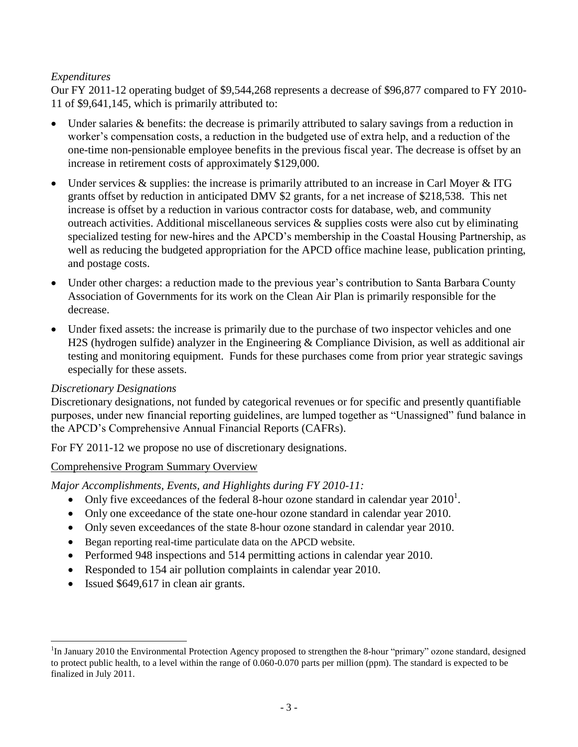# *Expenditures*

Our FY 2011-12 operating budget of \$9,544,268 represents a decrease of \$96,877 compared to FY 2010- 11 of \$9,641,145, which is primarily attributed to:

- Under salaries & benefits: the decrease is primarily attributed to salary savings from a reduction in worker's compensation costs, a reduction in the budgeted use of extra help, and a reduction of the one-time non-pensionable employee benefits in the previous fiscal year. The decrease is offset by an increase in retirement costs of approximately \$129,000.
- Under services  $\&$  supplies: the increase is primarily attributed to an increase in Carl Moyer  $\&$  ITG grants offset by reduction in anticipated DMV \$2 grants, for a net increase of \$218,538. This net increase is offset by a reduction in various contractor costs for database, web, and community outreach activities. Additional miscellaneous services & supplies costs were also cut by eliminating specialized testing for new-hires and the APCD's membership in the Coastal Housing Partnership, as well as reducing the budgeted appropriation for the APCD office machine lease, publication printing, and postage costs.
- Under other charges: a reduction made to the previous year's contribution to Santa Barbara County Association of Governments for its work on the Clean Air Plan is primarily responsible for the decrease.
- Under fixed assets: the increase is primarily due to the purchase of two inspector vehicles and one H2S (hydrogen sulfide) analyzer in the Engineering & Compliance Division, as well as additional air testing and monitoring equipment. Funds for these purchases come from prior year strategic savings especially for these assets.

## *Discretionary Designations*

l

Discretionary designations, not funded by categorical revenues or for specific and presently quantifiable purposes, under new financial reporting guidelines, are lumped together as "Unassigned" fund balance in the APCD's Comprehensive Annual Financial Reports (CAFRs).

For FY 2011-12 we propose no use of discretionary designations.

## Comprehensive Program Summary Overview

*Major Accomplishments, Events, and Highlights during FY 2010-11:*

- Only five exceedances of the federal 8-hour ozone standard in calendar year  $2010<sup>1</sup>$ .
- Only one exceedance of the state one-hour ozone standard in calendar year 2010.
- Only seven exceedances of the state 8-hour ozone standard in calendar year 2010.
- Began reporting real-time particulate data on the APCD website.
- Performed 948 inspections and 514 permitting actions in calendar year 2010.
- Responded to 154 air pollution complaints in calendar year 2010.
- Issued \$649,617 in clean air grants.

<sup>&</sup>lt;sup>1</sup>In January 2010 the Environmental Protection Agency proposed to strengthen the 8-hour "primary" ozone standard, designed to protect public health, to a level within the range of 0.060-0.070 parts per million (ppm). The standard is expected to be finalized in July 2011.